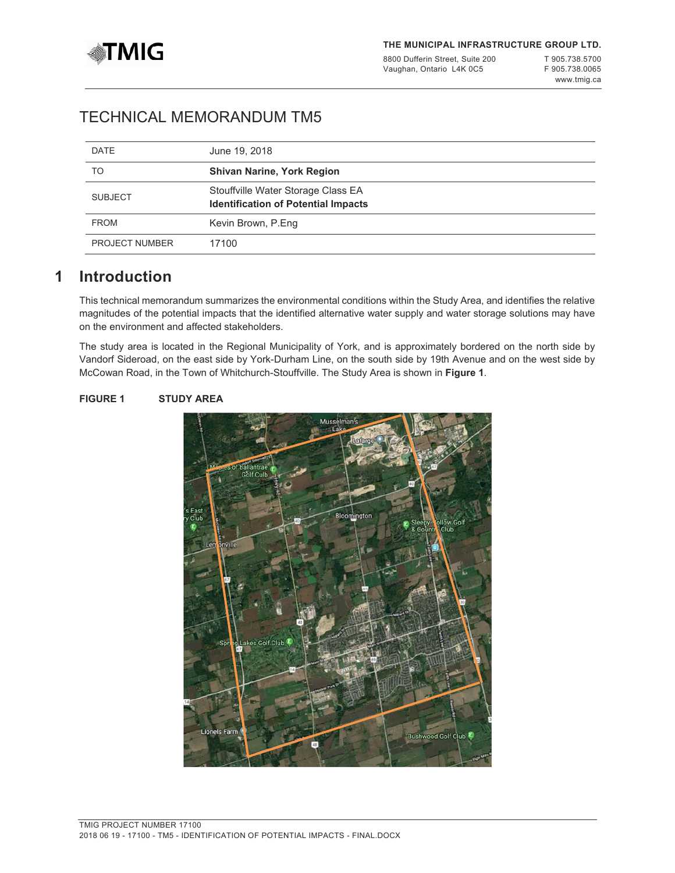

8800 Dufferin Street, Suite 200 Vaughan, Ontario L4K 0C5

T 905.738.5700 F 905.738.0065 [www.tmig.ca](http://www.tmig.ca)

# TECHNICAL MEMORANDUM TM5

| <b>DATE</b>           | June 19, 2018                                                                    |
|-----------------------|----------------------------------------------------------------------------------|
| TO                    | <b>Shivan Narine, York Region</b>                                                |
| <b>SUBJECT</b>        | Stouffville Water Storage Class EA<br><b>Identification of Potential Impacts</b> |
| <b>FROM</b>           | Kevin Brown, P.Eng                                                               |
| <b>PROJECT NUMBER</b> | 17100                                                                            |

### **1 Introduction**

This technical memorandum summarizes the environmental conditions within the Study Area, and identifies the relative magnitudes of the potential impacts that the identified alternative water supply and water storage solutions may have on the environment and affected stakeholders.

The study area is located in the Regional Municipality of York, and is approximately bordered on the north side by Vandorf Sideroad, on the east side by York-Durham Line, on the south side by 19th Avenue and on the west side by McCowan Road, in the Town of Whitchurch-Stouffville. The Study Area is shown in **Figure 1**.

#### **FIGURE 1 STUDY AREA**

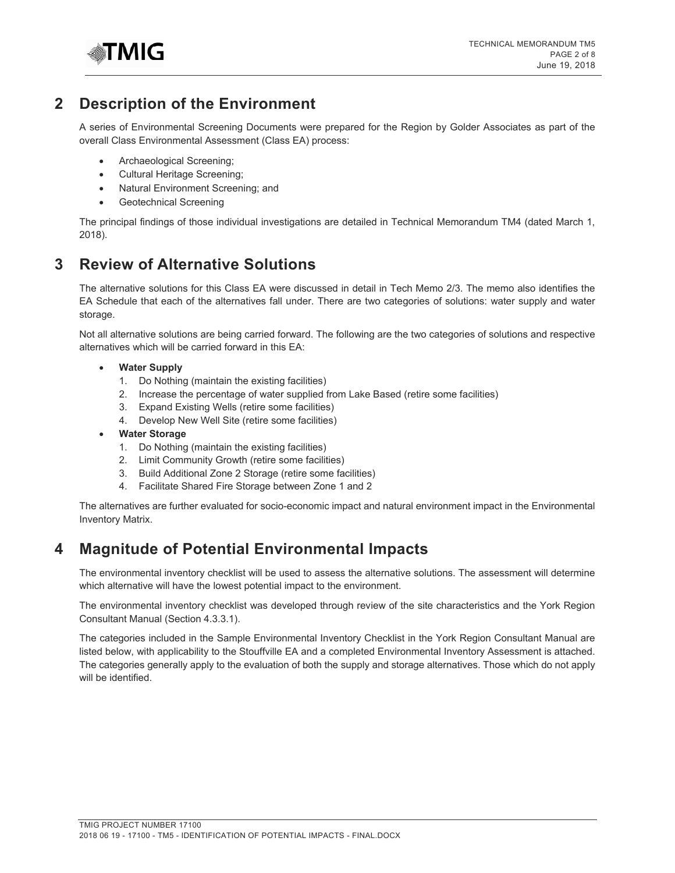

# **2 Description of the Environment**

A series of Environmental Screening Documents were prepared for the Region by Golder Associates as part of the overall Class Environmental Assessment (Class EA) process:

- Archaeological Screening;
- Cultural Heritage Screening;
- Natural Environment Screening; and
- Geotechnical Screening

The principal findings of those individual investigations are detailed in Technical Memorandum TM4 (dated March 1, 2018).

# **3 Review of Alternative Solutions**

The alternative solutions for this Class EA were discussed in detail in Tech Memo 2/3. The memo also identifies the EA Schedule that each of the alternatives fall under. There are two categories of solutions: water supply and water storage.

Not all alternative solutions are being carried forward. The following are the two categories of solutions and respective alternatives which will be carried forward in this EA:

#### • **Water Supply**

- 1. Do Nothing (maintain the existing facilities)
- 2. Increase the percentage of water supplied from Lake Based (retire some facilities)
- 3. Expand Existing Wells (retire some facilities)
- 4. Develop New Well Site (retire some facilities)
- **Water Storage** 
	- 1. Do Nothing (maintain the existing facilities)
	- 2. Limit Community Growth (retire some facilities)
	- 3. Build Additional Zone 2 Storage (retire some facilities)
	- 4. Facilitate Shared Fire Storage between Zone 1 and 2

The alternatives are further evaluated for socio-economic impact and natural environment impact in the Environmental Inventory Matrix.

# **4 Magnitude of Potential Environmental Impacts**

The environmental inventory checklist will be used to assess the alternative solutions. The assessment will determine which alternative will have the lowest potential impact to the environment.

The environmental inventory checklist was developed through review of the site characteristics and the York Region Consultant Manual (Section 4.3.3.1).

The categories included in the Sample Environmental Inventory Checklist in the York Region Consultant Manual are listed below, with applicability to the Stouffville EA and a completed Environmental Inventory Assessment is attached. The categories generally apply to the evaluation of both the supply and storage alternatives. Those which do not apply will be identified.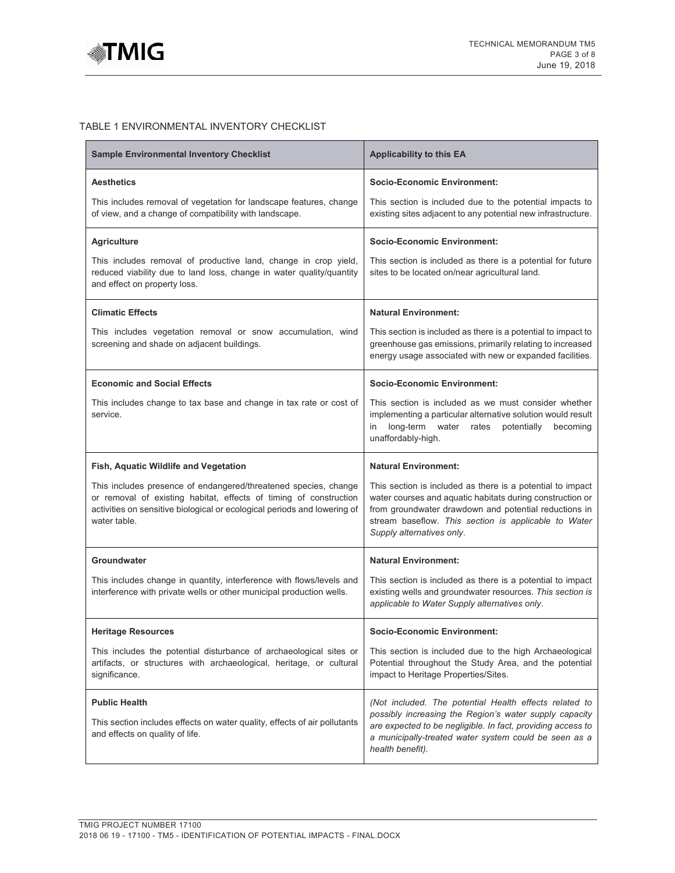

#### TABLE 1 ENVIRONMENTAL INVENTORY CHECKLIST

| <b>Sample Environmental Inventory Checklist</b>                                                                                                                                                                                  | <b>Applicability to this EA</b>                                                                                                                                                                                                                                       |
|----------------------------------------------------------------------------------------------------------------------------------------------------------------------------------------------------------------------------------|-----------------------------------------------------------------------------------------------------------------------------------------------------------------------------------------------------------------------------------------------------------------------|
| <b>Aesthetics</b>                                                                                                                                                                                                                | <b>Socio-Economic Environment:</b>                                                                                                                                                                                                                                    |
| This includes removal of vegetation for landscape features, change<br>of view, and a change of compatibility with landscape.                                                                                                     | This section is included due to the potential impacts to<br>existing sites adjacent to any potential new infrastructure.                                                                                                                                              |
| <b>Agriculture</b>                                                                                                                                                                                                               | <b>Socio-Economic Environment:</b>                                                                                                                                                                                                                                    |
| This includes removal of productive land, change in crop yield,<br>reduced viability due to land loss, change in water quality/quantity<br>and effect on property loss.                                                          | This section is included as there is a potential for future<br>sites to be located on/near agricultural land.                                                                                                                                                         |
| <b>Climatic Effects</b>                                                                                                                                                                                                          | <b>Natural Environment:</b>                                                                                                                                                                                                                                           |
| This includes vegetation removal or snow accumulation, wind<br>screening and shade on adjacent buildings.                                                                                                                        | This section is included as there is a potential to impact to<br>greenhouse gas emissions, primarily relating to increased<br>energy usage associated with new or expanded facilities.                                                                                |
| <b>Economic and Social Effects</b>                                                                                                                                                                                               | <b>Socio-Economic Environment:</b>                                                                                                                                                                                                                                    |
| This includes change to tax base and change in tax rate or cost of<br>service.                                                                                                                                                   | This section is included as we must consider whether<br>implementing a particular alternative solution would result<br>long-term water rates<br>potentially<br>becoming<br>in<br>unaffordably-high.                                                                   |
| Fish, Aquatic Wildlife and Vegetation                                                                                                                                                                                            | <b>Natural Environment:</b>                                                                                                                                                                                                                                           |
| This includes presence of endangered/threatened species, change<br>or removal of existing habitat, effects of timing of construction<br>activities on sensitive biological or ecological periods and lowering of<br>water table. | This section is included as there is a potential to impact<br>water courses and aquatic habitats during construction or<br>from groundwater drawdown and potential reductions in<br>stream baseflow. This section is applicable to Water<br>Supply alternatives only. |
| Groundwater                                                                                                                                                                                                                      | <b>Natural Environment:</b>                                                                                                                                                                                                                                           |
| This includes change in quantity, interference with flows/levels and<br>interference with private wells or other municipal production wells.                                                                                     | This section is included as there is a potential to impact<br>existing wells and groundwater resources. This section is<br>applicable to Water Supply alternatives only.                                                                                              |
| <b>Heritage Resources</b>                                                                                                                                                                                                        | <b>Socio-Economic Environment:</b>                                                                                                                                                                                                                                    |
| This includes the potential disturbance of archaeological sites or<br>artifacts, or structures with archaeological, heritage, or cultural<br>significance.                                                                       | This section is included due to the high Archaeological<br>Potential throughout the Study Area, and the potential<br>impact to Heritage Properties/Sites.                                                                                                             |
| <b>Public Health</b><br>This section includes effects on water quality, effects of air pollutants<br>and effects on quality of life.                                                                                             | (Not included. The potential Health effects related to<br>possibly increasing the Region's water supply capacity<br>are expected to be negligible. In fact, providing access to<br>a municipally-treated water system could be seen as a<br>health benefit).          |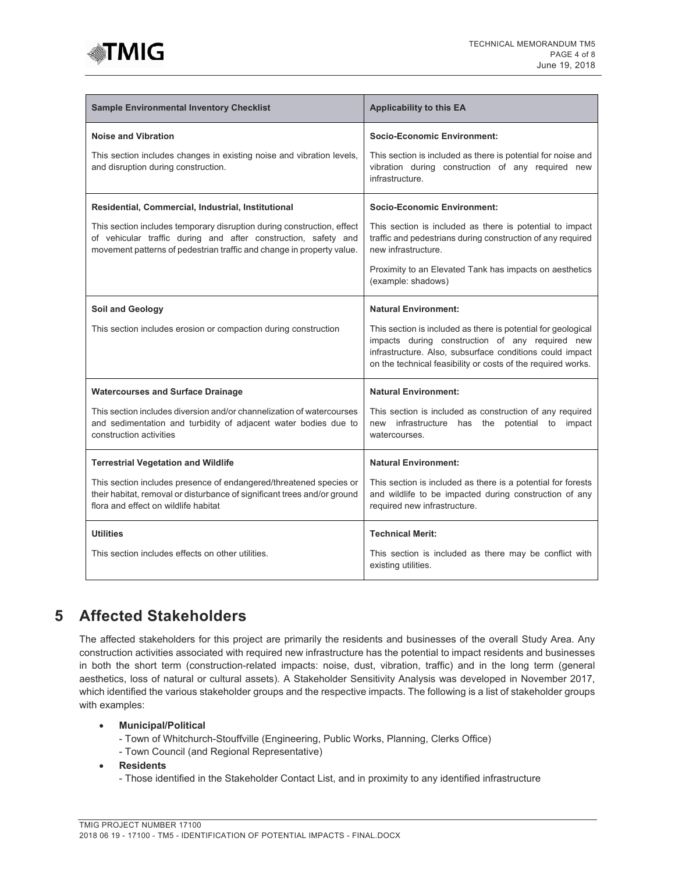

| <b>Sample Environmental Inventory Checklist</b>                                                                                                                                                                                                                         | <b>Applicability to this EA</b>                                                                                                                                                                                                                                             |
|-------------------------------------------------------------------------------------------------------------------------------------------------------------------------------------------------------------------------------------------------------------------------|-----------------------------------------------------------------------------------------------------------------------------------------------------------------------------------------------------------------------------------------------------------------------------|
| <b>Noise and Vibration</b><br>This section includes changes in existing noise and vibration levels,<br>and disruption during construction.                                                                                                                              | <b>Socio-Economic Environment:</b><br>This section is included as there is potential for noise and<br>vibration during construction of any required new<br>infrastructure.                                                                                                  |
| Residential, Commercial, Industrial, Institutional<br>This section includes temporary disruption during construction, effect<br>of vehicular traffic during and after construction, safety and<br>movement patterns of pedestrian traffic and change in property value. | <b>Socio-Economic Environment:</b><br>This section is included as there is potential to impact<br>traffic and pedestrians during construction of any required<br>new infrastructure.<br>Proximity to an Elevated Tank has impacts on aesthetics<br>(example: shadows)       |
| Soil and Geology<br>This section includes erosion or compaction during construction                                                                                                                                                                                     | <b>Natural Environment:</b><br>This section is included as there is potential for geological<br>impacts during construction of any required new<br>infrastructure. Also, subsurface conditions could impact<br>on the technical feasibility or costs of the required works. |
| <b>Watercourses and Surface Drainage</b><br>This section includes diversion and/or channelization of watercourses<br>and sedimentation and turbidity of adjacent water bodies due to<br>construction activities                                                         | <b>Natural Environment:</b><br>This section is included as construction of any required<br>new infrastructure has the potential to impact<br>watercourses.                                                                                                                  |
| <b>Terrestrial Vegetation and Wildlife</b><br>This section includes presence of endangered/threatened species or<br>their habitat, removal or disturbance of significant trees and/or ground<br>flora and effect on wildlife habitat                                    | <b>Natural Environment:</b><br>This section is included as there is a potential for forests<br>and wildlife to be impacted during construction of any<br>required new infrastructure.                                                                                       |
| <b>Utilities</b><br>This section includes effects on other utilities.                                                                                                                                                                                                   | <b>Technical Merit:</b><br>This section is included as there may be conflict with<br>existing utilities.                                                                                                                                                                    |

# **5 Affected Stakeholders**

The affected stakeholders for this project are primarily the residents and businesses of the overall Study Area. Any construction activities associated with required new infrastructure has the potential to impact residents and businesses in both the short term (construction-related impacts: noise, dust, vibration, traffic) and in the long term (general aesthetics, loss of natural or cultural assets). A Stakeholder Sensitivity Analysis was developed in November 2017, which identified the various stakeholder groups and the respective impacts. The following is a list of stakeholder groups with examples:

- **Municipal/Political** 
	- Town of Whitchurch-Stouffville (Engineering, Public Works, Planning, Clerks Office)
	- Town Council (and Regional Representative)

• **Residents** 

- Those identified in the Stakeholder Contact List, and in proximity to any identified infrastructure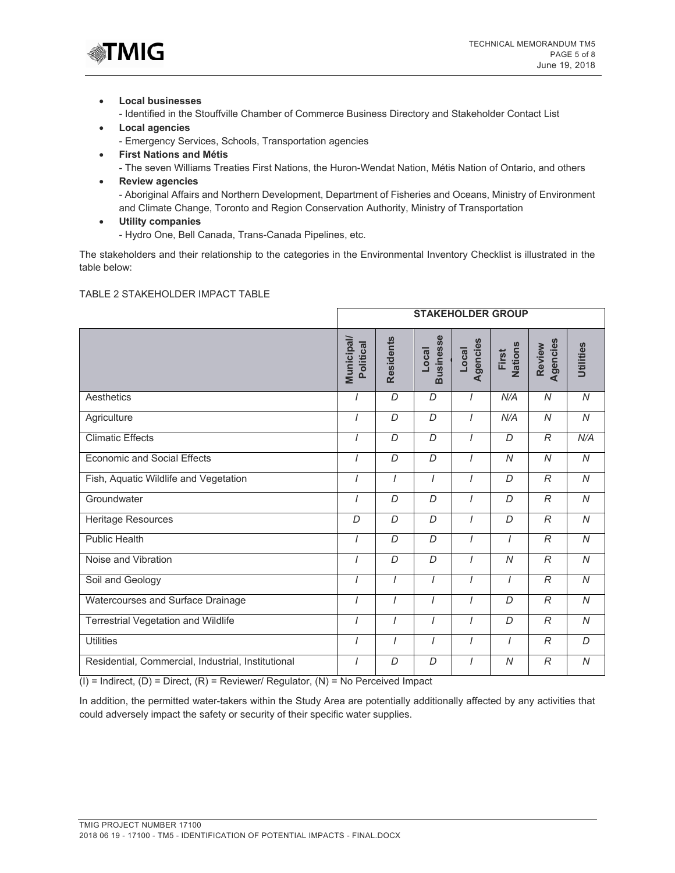

- **Local businesses** 
	- Identified in the Stouffville Chamber of Commerce Business Directory and Stakeholder Contact List
- Emergency Services, Schools, Transportation agencies • **Local agencies**
- The seven Williams Treaties First Nations, the Huron-Wendat Nation, Métis Nation of Ontario, and others • **First Nations and Métis**
- Aboriginal Affairs and Northern Development, Department of Fisheries and Oceans, Ministry of Environment • **Review agencies**  and Climate Change, Toronto and Region Conservation Authority, Ministry of Transportation
- Hydro One, Bell Canada, Trans-Canada Pipelines, etc. • **Utility companies**

The stakeholders and their relationship to the categories in the Environmental Inventory Checklist is illustrated in the table below:

#### TABLE 2 STAKEHOLDER IMPACT TABLE

|                                                    |                                | <b>STAKEHOLDER GROUP</b> |                           |                   |                  |                    |                |
|----------------------------------------------------|--------------------------------|--------------------------|---------------------------|-------------------|------------------|--------------------|----------------|
|                                                    | <b>Municipal/</b><br>Political | Residents                | <b>Businesse</b><br>Local | Agencies<br>Local | Nations<br>First | Agencies<br>Review | Utilities      |
| Aesthetics                                         | $\prime$                       | D                        | D                         | $\prime$          | N/A              | N                  | $\overline{N}$ |
| Agriculture                                        | $\overline{I}$                 | D                        | D                         |                   | N/A              | $\overline{N}$     | ${\cal N}$     |
| <b>Climatic Effects</b>                            | $\prime$                       | D                        | D                         | $\overline{I}$    | D                | $\mathcal{R}$      | N/A            |
| <b>Economic and Social Effects</b>                 | $\prime$                       | D                        | D                         | $\overline{I}$    | $\overline{N}$   | $\overline{N}$     | $\overline{N}$ |
| Fish, Aquatic Wildlife and Vegetation              | $\prime$                       | $\overline{I}$           | $\prime$                  | $\overline{I}$    | D                | $\mathcal{R}$      | $\overline{N}$ |
| Groundwater                                        | $\overline{I}$                 | $\overline{D}$           | D                         | $\prime$          | D                | $\mathcal{R}$      | $\overline{N}$ |
| Heritage Resources                                 | D                              | D                        | D                         | $\prime$          | D                | R                  | $\overline{N}$ |
| <b>Public Health</b>                               | $\overline{I}$                 | D                        | D                         | $\overline{I}$    |                  | $\mathcal{R}$      | N              |
| Noise and Vibration                                | $\overline{I}$                 | D                        | D                         | $\overline{I}$    | $\overline{N}$   | $\mathcal{R}$      | $\overline{N}$ |
| Soil and Geology                                   | $\overline{I}$                 |                          | $\overline{I}$            |                   |                  | $\mathcal{R}$      | N              |
| Watercourses and Surface Drainage                  | I                              | $\prime$                 | I                         | $\prime$          | D                | $\mathcal{R}$      | $\overline{M}$ |
| Terrestrial Vegetation and Wildlife                | $\prime$                       | $\prime$                 | I                         |                   | D                | $\mathcal{R}$      | ${\cal N}$     |
| <b>Utilities</b>                                   | $\prime$                       | $\prime$                 | $\prime$                  | $\prime$          | $\prime$         | $\mathcal{R}$      | D              |
| Residential, Commercial, Industrial, Institutional | $\overline{I}$                 | D                        | D                         | $\prime$          | $\overline{N}$   | R                  | ${\cal N}$     |

 $(I)$  = Indirect, (D) = Direct, (R) = Reviewer/ Regulator, (N) = No Perceived Impact

In addition, the permitted water-takers within the Study Area are potentially additionally affected by any activities that could adversely impact the safety or security of their specific water supplies.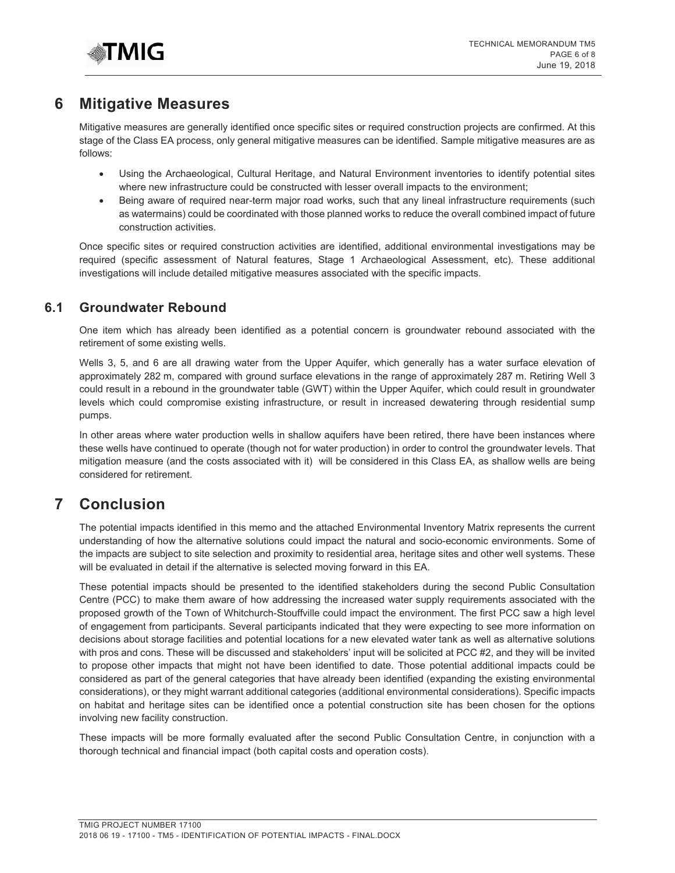

### **6 Mitigative Measures**

Mitigative measures are generally identified once specific sites or required construction projects are confirmed. At this stage of the Class EA process, only general mitigative measures can be identified. Sample mitigative measures are as follows:

- Using the Archaeological, Cultural Heritage, and Natural Environment inventories to identify potential sites where new infrastructure could be constructed with lesser overall impacts to the environment;
- Being aware of required near-term major road works, such that any lineal infrastructure requirements (such as watermains) could be coordinated with those planned works to reduce the overall combined impact of future construction activities.

Once specific sites or required construction activities are identified, additional environmental investigations may be required (specific assessment of Natural features, Stage 1 Archaeological Assessment, etc). These additional investigations will include detailed mitigative measures associated with the specific impacts.

### **6.1 Groundwater Rebound**

One item which has already been identified as a potential concern is groundwater rebound associated with the retirement of some existing wells.

Wells 3, 5, and 6 are all drawing water from the Upper Aquifer, which generally has a water surface elevation of approximately 282 m, compared with ground surface elevations in the range of approximately 287 m. Retiring Well 3 could result in a rebound in the groundwater table (GWT) within the Upper Aquifer, which could result in groundwater levels which could compromise existing infrastructure, or result in increased dewatering through residential sump pumps.

In other areas where water production wells in shallow aquifers have been retired, there have been instances where these wells have continued to operate (though not for water production) in order to control the groundwater levels. That mitigation measure (and the costs associated with it) will be considered in this Class EA, as shallow wells are being considered for retirement.

# **7 Conclusion**

The potential impacts identified in this memo and the attached Environmental Inventory Matrix represents the current understanding of how the alternative solutions could impact the natural and socio-economic environments. Some of the impacts are subject to site selection and proximity to residential area, heritage sites and other well systems. These will be evaluated in detail if the alternative is selected moving forward in this EA.

These potential impacts should be presented to the identified stakeholders during the second Public Consultation Centre (PCC) to make them aware of how addressing the increased water supply requirements associated with the proposed growth of the Town of Whitchurch-Stouffville could impact the environment. The first PCC saw a high level of engagement from participants. Several participants indicated that they were expecting to see more information on decisions about storage facilities and potential locations for a new elevated water tank as well as alternative solutions with pros and cons. These will be discussed and stakeholders' input will be solicited at PCC #2, and they will be invited to propose other impacts that might not have been identified to date. Those potential additional impacts could be considered as part of the general categories that have already been identified (expanding the existing environmental considerations), or they might warrant additional categories (additional environmental considerations). Specific impacts on habitat and heritage sites can be identified once a potential construction site has been chosen for the options involving new facility construction.

These impacts will be more formally evaluated after the second Public Consultation Centre, in conjunction with a thorough technical and financial impact (both capital costs and operation costs).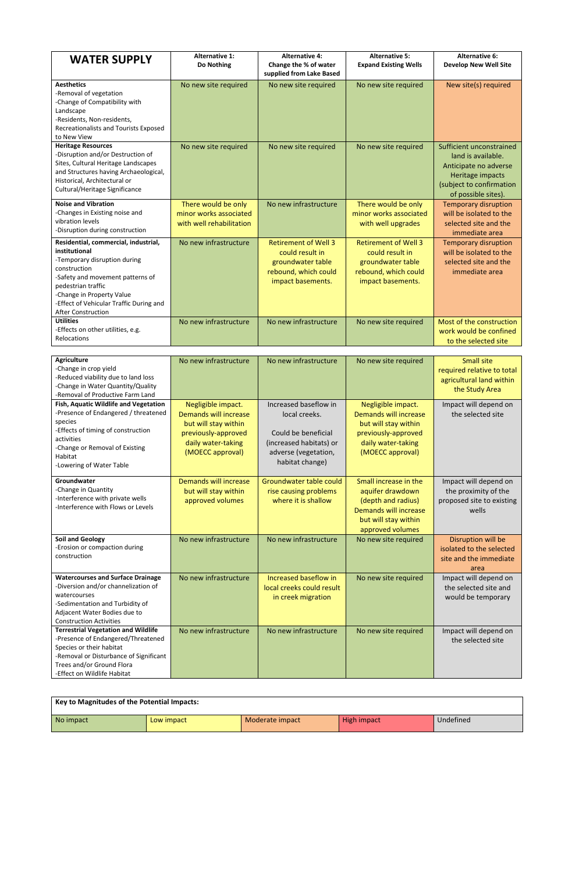| <b>WATER SUPPLY</b>                                                                                                                                                                                                                                                  | <b>Alternative 1:</b><br>Do Nothing                                       | <b>Alternative 4:</b><br>Change the % of water<br>supplied from Lake Based                                       | <b>Alternative 5:</b><br><b>Expand Existing Wells</b>                                                            | <b>Alternative 6:</b><br><b>Develop New Well Site</b>                                                                                          |
|----------------------------------------------------------------------------------------------------------------------------------------------------------------------------------------------------------------------------------------------------------------------|---------------------------------------------------------------------------|------------------------------------------------------------------------------------------------------------------|------------------------------------------------------------------------------------------------------------------|------------------------------------------------------------------------------------------------------------------------------------------------|
| <b>Aesthetics</b><br>-Removal of vegetation<br>-Change of Compatibility with<br>Landscape<br>-Residents, Non-residents,<br><b>Recreationalists and Tourists Exposed</b><br>to New View                                                                               | No new site required                                                      | No new site required                                                                                             | No new site required                                                                                             | New site(s) required                                                                                                                           |
| <b>Heritage Resources</b><br>-Disruption and/or Destruction of<br>Sites, Cultural Heritage Landscapes<br>and Structures having Archaeological,<br>Historical, Architectural or<br>Cultural/Heritage Significance                                                     | No new site required                                                      | No new site required                                                                                             | No new site required                                                                                             | Sufficient unconstrained<br>land is available.<br>Anticipate no adverse<br>Heritage impacts<br>(subject to confirmation<br>of possible sites). |
| <b>Noise and Vibration</b><br>-Changes in Existing noise and<br>vibration levels<br>-Disruption during construction                                                                                                                                                  | There would be only<br>minor works associated<br>with well rehabilitation | No new infrastructure                                                                                            | There would be only<br>minor works associated<br>with well upgrades                                              | <b>Temporary disruption</b><br>will be isolated to the<br>selected site and the<br>immediate area                                              |
| Residential, commercial, industrial,<br>institutional<br>-Temporary disruption during<br>construction<br>-Safety and movement patterns of<br>pedestrian traffic<br>-Change in Property Value<br>-Effect of Vehicular Traffic During and<br><b>After Construction</b> | No new infrastructure                                                     | <b>Retirement of Well 3</b><br>could result in<br>groundwater table<br>rebound, which could<br>impact basements. | <b>Retirement of Well 3</b><br>could result in<br>groundwater table<br>rebound, which could<br>impact basements. | <b>Temporary disruption</b><br>will be isolated to the<br>selected site and the<br>immediate area                                              |
| <b>Utilities</b><br>-Effects on other utilities, e.g.<br>Relocations                                                                                                                                                                                                 | No new infrastructure                                                     | No new infrastructure                                                                                            | No new site required                                                                                             | Most of the construction<br>work would be confined<br>to the selected site                                                                     |

| <b>Agriculture</b><br>-Change in crop yield<br>-Reduced viability due to land loss<br>-Change in Water Quantity/Quality<br>-Removal of Productive Farm Land                                                           | No new infrastructure                                                                                                                | No new infrastructure                                                                                                               | No new site required                                                                                                                 | <b>Small site</b><br>required relative to total<br>agricultural land within<br>the Study Area |
|-----------------------------------------------------------------------------------------------------------------------------------------------------------------------------------------------------------------------|--------------------------------------------------------------------------------------------------------------------------------------|-------------------------------------------------------------------------------------------------------------------------------------|--------------------------------------------------------------------------------------------------------------------------------------|-----------------------------------------------------------------------------------------------|
| Fish, Aquatic Wildlife and Vegetation<br>-Presence of Endangered / threatened<br>species<br>-Effects of timing of construction<br>activities<br>-Change or Removal of Existing<br>Habitat<br>-Lowering of Water Table | Negligible impact.<br>Demands will increase<br>but will stay within<br>previously-approved<br>daily water-taking<br>(MOECC approval) | Increased baseflow in<br>local creeks.<br>Could be beneficial<br>(increased habitats) or<br>adverse (vegetation,<br>habitat change) | Negligible impact.<br>Demands will increase<br>but will stay within<br>previously-approved<br>daily water-taking<br>(MOECC approval) | Impact will depend on<br>the selected site                                                    |
| Groundwater<br>-Change in Quantity<br>-Interference with private wells<br>-Interference with Flows or Levels                                                                                                          | <b>Demands will increase</b><br>but will stay within<br>approved volumes                                                             | Groundwater table could<br>rise causing problems<br>where it is shallow                                                             | Small increase in the<br>aquifer drawdown<br>(depth and radius)<br>Demands will increase<br>but will stay within<br>approved volumes | Impact will depend on<br>the proximity of the<br>proposed site to existing<br>wells           |
| <b>Soil and Geology</b><br>-Erosion or compaction during<br>construction                                                                                                                                              | No new infrastructure                                                                                                                | No new infrastructure                                                                                                               | No new site required                                                                                                                 | Disruption will be<br>isolated to the selected<br>site and the immediate<br>area              |
| <b>Watercourses and Surface Drainage</b><br>-Diversion and/or channelization of<br>watercourses<br>-Sedimentation and Turbidity of<br>Adjacent Water Bodies due to<br><b>Construction Activities</b>                  | No new infrastructure                                                                                                                | Increased baseflow in<br>local creeks could result<br>in creek migration                                                            | No new site required                                                                                                                 | Impact will depend on<br>the selected site and<br>would be temporary                          |
| <b>Terrestrial Vegetation and Wildlife</b><br>-Presence of Endangered/Threatened<br>Species or their habitat<br>-Removal or Disturbance of Significant<br>Trees and/or Ground Flora<br>-Effect on Wildlife Habitat    | No new infrastructure                                                                                                                | No new infrastructure                                                                                                               | No new site required                                                                                                                 | Impact will depend on<br>the selected site                                                    |

| Key to Magnitudes of the Potential Impacts: |            |                 |                    |           |  |
|---------------------------------------------|------------|-----------------|--------------------|-----------|--|
| No impact                                   | Low impact | Moderate impact | <b>High impact</b> | Undefined |  |